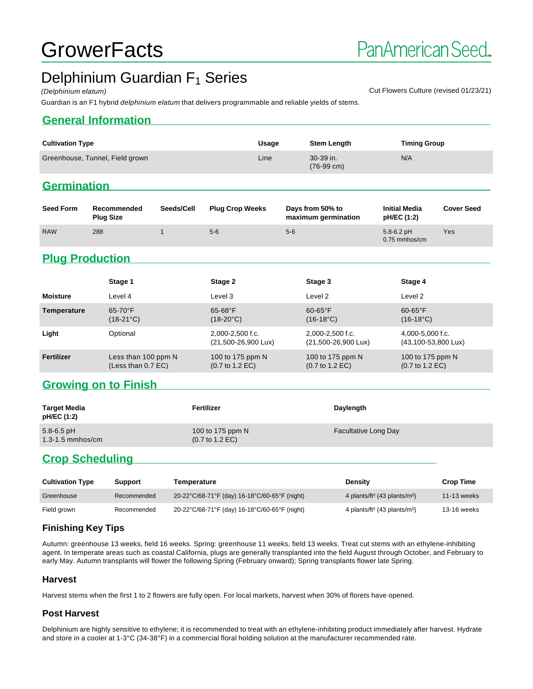# **GrowerFacts**

# Delphinium Guardian F<sub>1</sub> Series

(Delphinium elatum) Cut Flowers Culture (revised 01/23/21)

#### Guardian is an F1 hybrid delphinium elatum that delivers programmable and reliable yields of stems.

#### **General Information**

| <b>Cultivation Type</b>         | Usage | <b>Stem Length</b>                | <b>Timing Group</b> |
|---------------------------------|-------|-----------------------------------|---------------------|
| Greenhouse, Tunnel, Field grown | Line  | 30-39 in.<br>$(76-99 \text{ cm})$ | N/A                 |
|                                 |       |                                   |                     |

# **Germination**

| <b>Seed Form</b> | Recommended<br><b>Plug Size</b> | Seeds/Cell | <b>Plug Crop Weeks</b> | Days from 50% to<br>maximum germination | <b>Initial Media</b><br><b>pH/EC (1:2)</b> | <b>Cover Seed</b> |
|------------------|---------------------------------|------------|------------------------|-----------------------------------------|--------------------------------------------|-------------------|
| <b>RAW</b>       | 288                             |            | $5-6$                  | $5-6$                                   | $5.8 - 6.2$ pH<br>$0.75$ mmhos/cm          | Yes               |

## **Plug Production**

|                 | Stage 1                                     | Stage 2                                                | Stage 3                                                | Stage 4                                                |
|-----------------|---------------------------------------------|--------------------------------------------------------|--------------------------------------------------------|--------------------------------------------------------|
| <b>Moisture</b> | Level 4                                     | Level 3                                                | Level 2                                                | Level 2                                                |
| Temperature     | $65-70$ °F<br>$(18-21^{\circ}C)$            | $65 - 68$ °F<br>$(18-20^{\circ}C)$                     | $60-65$ °F<br>$(16-18^{\circ}C)$                       | $60-65$ °F<br>$(16-18^{\circ}C)$                       |
| Light           | Optional                                    | $2.000 - 2.500$ f.c.<br>(21,500-26,900 Lux)            | $2.000 - 2.500$ f.c.<br>(21,500-26,900 Lux)            | 4,000-5,000 f.c.<br>(43,100-53,800 Lux)                |
| Fertilizer      | Less than 100 ppm N<br>(Less than $0.7$ EC) | 100 to 175 ppm N<br>$(0.7 \text{ to } 1.2 \text{ EC})$ | 100 to 175 ppm N<br>$(0.7 \text{ to } 1.2 \text{ EC})$ | 100 to 175 ppm N<br>$(0.7 \text{ to } 1.2 \text{ EC})$ |

#### **Growing on to Finish**

| Target Media<br>pH/EC (1:2)            | Fertilizer                                             | Daylength                   |
|----------------------------------------|--------------------------------------------------------|-----------------------------|
| $5.8 - 6.5$ pH<br>$1.3 - 1.5$ mmhos/cm | 100 to 175 ppm N<br>$(0.7 \text{ to } 1.2 \text{ EC})$ | <b>Facultative Long Day</b> |

## **Crop Scheduling**

| <b>Cultivation Type</b> | <b>Support</b> | Temperature                                   | Densitv                                              | <b>Crop Time</b> |
|-------------------------|----------------|-----------------------------------------------|------------------------------------------------------|------------------|
| Greenhouse              | Recommended    | 20-22°C/68-71°F (day) 16-18°C/60-65°F (night) | 4 plants/ft <sup>2</sup> (43 plants/m <sup>2</sup> ) | 11-13 weeks      |
| Field grown             | Recommended    | 20-22°C/68-71°F (day) 16-18°C/60-65°F (night) | 4 plants/ft <sup>2</sup> (43 plants/m <sup>2</sup> ) | 13-16 weeks      |

#### **Finishing Key Tips**

Autumn: greenhouse 13 weeks, field 16 weeks. Spring: greenhouse 11 weeks, field 13 weeks. Treat cut stems with an ethylene-inhibiting agent. In temperate areas such as coastal California, plugs are generally transplanted into the field August through October, and February to early May. Autumn transplants will flower the following Spring (February onward); Spring transplants flower late Spring.

#### **Harvest**

Harvest stems when the first 1 to 2 flowers are fully open. For local markets, harvest when 30% of florets have opened.

#### **Post Harvest**

Delphinium are highly sensitive to ethylene; it is recommended to treat with an ethylene-inhibiting product immediately after harvest. Hydrate and store in a cooler at 1-3°C (34-38°F) in a commercial floral holding solution at the manufacturer recommended rate.